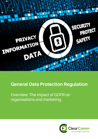

# **General Data Protection Regulation**

Overview: The impact of GDPR on organisations and marketing

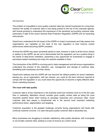

#### **Introduction**

The problem of unqualified or poor-quality customer data has marred businesses for a long time, however the quality of customer data is now being pushed to the top of the corporate agenda, with brands growing to understand the importance of the sensitivity surrounding customer data, particularly in light of the recent General Data Protection Regulation (GDPR) and its impending enforcement.

ClearComm understand the full impact of the GDPR on today's businesses and help assess how organisations can capitalise on the back of the new regulation to best improve market performance whilst becoming GDPR compliant.

At times the GDPR may seem somewhat painful to read, however in spite of all the horror stories in relation to the GDPR, we set out to demonstrate that the regulation can be a positive thing in the hands of data-driven marketers, presenting a key opportunity for businesses to engage in permission-based marketing and enjoy the rewards available to them.

The introduction of the GDPR is a turning point in data management and will ensure organisations understand the process of the collection, use, management and storage of customer data, benefitting both businesses and their clients.

ClearComm believes that the GDPR will now become the default position for brand marketers, leaving you, as an organisation, with two choices: you could do the bare minimum required to comply with the regulation or you could seize this opportunity to become a highly effective datadriven marketing business.

### **The issue with data quality**

Customer data is of key importance in the business world and nowhere more so is this the case than in marketing. Marketers should consider good quality contact data as being the most important positive factor when looking at campaign responses and conversion rates. Good customer data also played a fundamental role in the second most important marketing performance factor, segmentation and targeting.

Customer acquisition is the greatest challenge currently facing organisations and faced with continual customer turnover, it is clear that good quality customer data is absolutely key.

Many businesses are struggling to maintain satisfactory data quality standards, with incomplete or out-of-date customer data, leading to a loss of revenue as a direct result.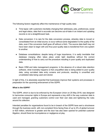

The following factors negatively affect the maintenance of high quality data:

- Time lapse: with customers inevitably changing their addresses, jobs, preferences, social and legal status, data that is accurate can become out-of-date in an instant and updating records is not a straightforward task.
- Data conversion: it is rare for the data conversion process, whereby data is moved or consolidated from an initial source, to occur without some degradation to the quality of the data, even if the conversion itself goes off without a hitch. The source data itself may not have been clean to begin with and thus poor-quality data is transferred from one system to another.
- Database consolidations: despite being of huge importance, it is sadly inevitable that database merging often takes place under tight deadlines without the correct understanding of how to carry out the procedure resulting in poor quality and duplicated data.
- Basic CRM and data management programs: in the absence of a robust data retention software, what invariably happens is that unqualified data is being added to poor quality data, using out-dated data entry screens and protocols, resulting in unverified and unvalidated data being used and stored.

In light of this, it is absolutely essential that businesses improve their systems and processes in preparation for the upcoming enforcement of the GDPR.

# **What is the GDPR?**

The GDPR, which is due to be enforced by the European Union on 25 May 2018, was designed to harmonise consumer rights in Europe and represents a key shift in the way customer data is used and managed, granting customers control over their own data and tightening the rules around its collection.

Intended penalties for organisations found to be in breach of the GDPR have sent a shockwave through the business world, with non-compliant firms facing fines of up to 4% of global turnover or €20 million, whichever is greater and the door has also been opened for potential customer litigation, should there be incompetence or negligence at play.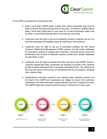

To be GDPR compliant firms must ensure that:

- Data is up-to-date: GDPR Article 5 states that *"Every reasonable step must be taken to ensure that personal data that is inaccurate...is erased or rectified without delay"*. Since poor quality data is a key issue for so many businesses, steps must be taken to ensure that personal data is accurate and up-to-date.
- Customers have the right to opt out of marketing: should a customer opt out, it is vital that businesses immediately cease all marketing to that customer.
- Customers have the right to opt out of automated profiling: this will impact Customer Relationship Management (CRM) systems and will create challenges for businesses seeking to retarget past customers. Technical issues around the identification and removal of duplicate customer profiles from multiple databases are also likely to arise.
- Customers have the right to request their data: pursuant to the GDPR, should a customer request their data, businesses are required to provide to the customer all data currently held about them in an easily accessible format. The rolling-out of this may well prove to be onerous for businesses that are not properly managing their customer data.
- Organisations must have consent to use customer data: customer consent is at the heart of the GDPR and businesses are obliged to ensure that customers understand at all times what data is being collected and how it is going to be used. The GDPR states that consent must be as easy to withdraw as it was to give.

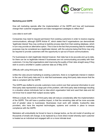

# **Marketing post GDPR**

How will marketing operate after the implementation of the GDPR and how will businesses change their customer engagement and data management strategies to reflect this?

#### *Less data to work with*

Companies may need to request permission from existing customers in order to receive ongoing communications, although GDPR Article 47, which states that if organisations can demonstrate 'legitimate interest' they may continue to lawfully process data from their existing database, which in turn may provide an alternative option. This is due to the fact that processing data for marketing purposes may be considered as a legitimate interest, with the outcome being that firms may only be required to provide customers with the opportunity to opt-out of future communications.

For businesses to claim legitimate interest however, their data has to be accurate and up-to-date, for there can be no legitimate interest if businesses are not communicating accurately with their customers. It is key that organisations start improving the quality of their data *straight away* if they wish to avoid a shortfall in usable customer data as of May 2018.

### *Difficulty with using third-party data*

Unlike the rules around marketing to existing customers, there is no legitimate interest in relation to the use of third party data and it is vital that businesses using third-party data ensure that the data is compliant with the GDPR.

The GDPR was drafted to provide customers more control over their personal information to and third-party data represented a large part of the problem, with third-party data brokerage resulting in a situation where individuals had no idea which organisation held and used their data and did not know how to assert their subject access rights.

Without a doubt, the volume of third-party data will reduce considerably after the implementation of the GDPR. This will have a positive impact, in that the remaining data will be more accurate and of greater value to businesses. Businesses must work with reliable, trustworthy data providers, who have the required technologies, systems and controls in place to ensure compliance with the GDPR.

Marketers will undoubtedly be forced to have to change tactics, as the old model of sending out thousands of emails will change, to be replaced by a more direct model whereby each customer is treated as an individual and engaged with on a more intimate level.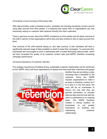

### *Uncertainty around sourcing of third-party data*

With data providers under increased scrutiny, marketers are showing increasing concern around using data sourced from third parties. It is believed that nearly 50% of organisations are now exclusively relying on customer data captured directly from their customers.

There is genuine concern about the GDPR compliance by third parties and the likely outcome of this shift in opinion is that organisations will be less and less inclined to rely on data sourced from them.

One outcome of the shift towards relying on own data sources, is that marketers will have a significantly reduced range of data available on which to base their campaigns. To overcome this, businesses are encouraged to work in partnership with a trusted third-party data provider, which will have increased the quality of its customer contact data post-GDPR, therefore increasing campaign performance.

# *Increased importance of customer retention*

The strategic importance of building strong, sustainable customer relationships will be reinforced by the GDPR, which will force organisations to assess how they treat their customers and gauge



whether they are providing a value exchange that is beneficial to the customer. Since the GDPR requires organisations to make it as easy to withdraw consent as it is to give it in the first place, the onus will be on businesses to ensure not only that they are granted permission to process data but also that the trust with the client is maintained on an ongoing basis. The GDPR therefore creates a strong impetus for businesses to put greater importance on building and maintaining customer relationships.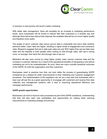

# *A reduction in bad practice will result in better marketing*

With better data management, there will inevitably be an increase in marketing performance levels, since businesses will be forced to interact with their customers in a smarter way and although there will be less data at their disposal, the available data will be of a much higher quality and therefore more useful.

The quality of opt-in customer data versus opt-out data is undeniable and opt-in data certainly performs better. Open rates are higher, resulting in higher levels of engagement and conversion rates. Research suggests that opt-in data open rates are over 80% higher than opt-out data open rates and the disparity is even greater when looking at click-through rates, with opt-in having more, on average, than twice the click-through rate of opt-out.

Marketers will also save money by using higher quality, lower volume customer data and the increase in customer retention as a result of the reputational benefits of transparency and ethical marketing are not to be underestimated. As such, there are many mutually beneficial outcomes of the GDPR, for both the organisation and their customers.

Businesses need to examine how they can best utilise the process of guaranteeing GDPR compliance as a catalyst for wider improvements to their marketing and customer engagement processes. The implementation of the regulation can act as a new start and businesses with a keen eye will see this as a great opportunity to re-engage with customers and revamp their data collection and management systems, with a view to improving operational efficiency and campaign performance.

### **GDPR growth opportunities**

Businesses can look to improve many processes as part of the GDPR compliance, understanding that they will also open new possibilities and opportunities for making wider reaching improvements to marketing strategy and process: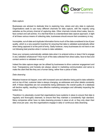

## *Data capture*

Businesses are advised to dedicate time to exploring how, where and why data is captured. Organisations seek to use many different channels for data capture, with the majority using websites as the primary channel of capturing data. Other channels include direct sales, face-toface contact and call centres. It is vital that there is a standardised data capture approach, in light of all these various means of collecting data, businesses should ensure that consistency is key.

Incomplete, out-of-date and duplicate information forms much of the data considered to be of poor quality, which is a very powerful incentive for ensuring that data is validated automatically either when being captured or at the point of entry. Sadly however, many businesses do not have or are not following best practice when it comes to data validation.

Does your company automatically validate data when it is entered online or does it fail to engage in any validation whatsoever? How much of the data collected from direct sales, face-to-face and contact centre's is validated on entry?

Indeed the data capture stage can be utilised by businesses to drive customer engagement and trust. Transparency and honesty are always valued in marketing communication and serve to make the client feel like they are a human being, rather than a piece of data.

### *Data cleansing*

Mistakes however do happen, even with increased care and attention being paid to data validation and on top of that, customer data is always changing, as addresses and other details constantly shift. If these disparities are not consistently being addressed, the overall quality of a database will decline rapidly, resulting in less effective marketing campaigns and ultimately impacting the bottom line.

Therefore it is absolutely crucial that organisations have systems in place to ensure that data is regularly and thoroughly cleansed, to ensure that they maintain a consistently high standard. Many companies either have no data cleansing process in place at all, or they only clean their data once per year, very few organisations engage in daily or continuous data cleansing.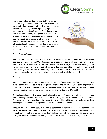

This is the perfect context for the GDPR to come in, since the regulation demands that organisations only have up-to-date, accurate information and serves as an example of a way in which tightening regulation can also improve market performance. Focusing on growth and customer intimacy will place businesses in a fantastic position for practicing smart marketing i.e. running great campaigns, analytics and delivering deeper customer discernment. The ROI of a business will be significantly impacted if their data is out-of-date, as a result of a lack of proper and effective data cleansing.



# *Enhancing existing data*

As has already been discussed, there is a trend of marketers relying on third-party data less and less, due to concerns around GDPR compliance, choosing instead to rely exclusively on customer data they have captured themselves. The result of this is that organisations are missing out on the services of compliant and effective third-party data sources, which can enhance and enrich their existing data. Reputable third-party data providers can improve the performance of marketing campaigns and can ensure that data is up-to-date and of a high quality.

### *Consent*

Although customer data that has not been 'permissioned' pursuant to the GDPR does not have to be discarded so long as there is a legitimate interest and the data is up-to-date, organisations might opt to 'renew' marketing data by contacting customers to obtain the requisite consent, thereby ensuring that it is safe to continue processing the data after March 2018.

Contacting customers in this context could also act as a way of re-engaging with lapsed customers and identifying accounts that are inactive, so that they may be removed from the database. Customers could also be asked at this stage if they would like additional information or services, resulting in increased marketing avenues and deeper customer intimacy.

Although email is the most popular method of contacting customers for renewing consent, there are some people that prefer to receive direct mail as opposed to digital communication in this context, confirming that to do so makes them feel more valued. As such it may be a smart move for organisations to engage in renewing consent or reviewing conditions via regular mail.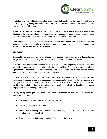

In addition, it is vital that businesses clearly communicate to customers the value they will receive in exchange for granting permission, otherwise it is very likely that customers will not opt-in if there's nothing in it for them.

Businesses should also be aware that this is a time sensitive exercise, since the enforcement deadline is drawing ever closer. The sooner renewed consent is commenced, the better, since customers will be inundated with such requests as the deadline draws near.

Many organisations have not even begun to consider this process and its ramifications. The process of renewing consent is likely to take six months, or longer, so businesses are encouraged to start looking into this as a matter of priority.

# **Conclusion**

Data quality has long been a significant factor in marketing performance, however its significance has grown and will continue to grow with the impending enforcement of the GDPR.

With the GDPR enforcement deadline looming, businesses are beginning to consider and deal with their data quality issues, especially in light of the significant financial penalties being levied against the non-compliant. The implementation of the GDPR can also be used by forward-thinking businesses to upgrade and refine their wider marketing efforts.

To ensure GDPR compliance, organisations will have to engage in a full audit of their data processing strategies, systems, processes and technologies to ensure that they are operating at the right level. As part of this audit process, businesses can also increase the quality of data provided to marketers thereby nurturing and strengthening client relationships, increasing engagement and improving performance.

To stay on top of the game in a post-GDPR world, businesses will have to adhere to the new norms, which include:

- Consistent capture of data across various channels;
- Validating data at the point of entry;
- Robust data cleansing and enhancement processes, to ensure that data is up-to-date, permissioned and compliant;
- A greater, more holistic understanding of clients and their lives;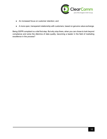

- An increased focus on customer retention; and
- A more open, transparent relationship with customers, based on genuine value exchange.

Being GDPR compliant is a vital first step. But why stop there, when you can chose to look beyond compliance and solve the dilemma of data quality, becoming a leader in the field of marketing excellence in the process?